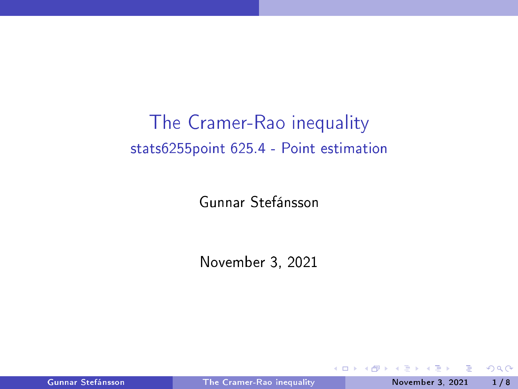# <span id="page-0-0"></span>The Cramer-Rao inequality stats6255point 625.4 - Point estimation

Gunnar Stefánsson

November 3, 2021

不自主

Gunnar Stefánsson **Franch [Cramer-Rao](#page-8-0) inequality** November 3, 2021 1/8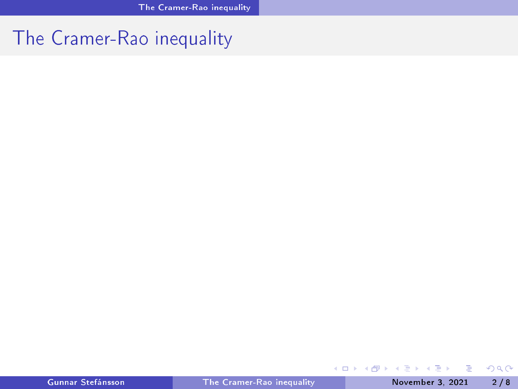#### <span id="page-1-0"></span>The Cramer-Rao inequality

 $\mathbf{p}$  $\rightarrow$   $\equiv$   $\rightarrow$ 

**K ロ ▶ K 御 ▶ K 唐** 

重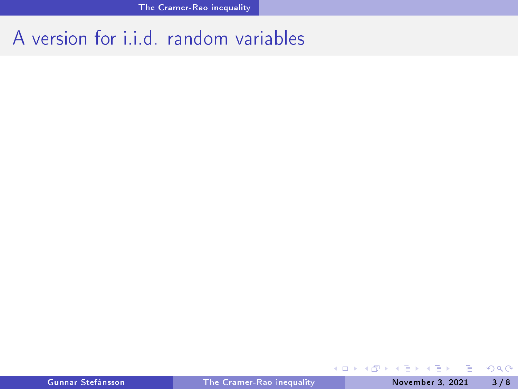## A version for i.i.d. random variables

 $\Rightarrow$ 

 $298$ 

イロト イ部 トイヨ トイヨト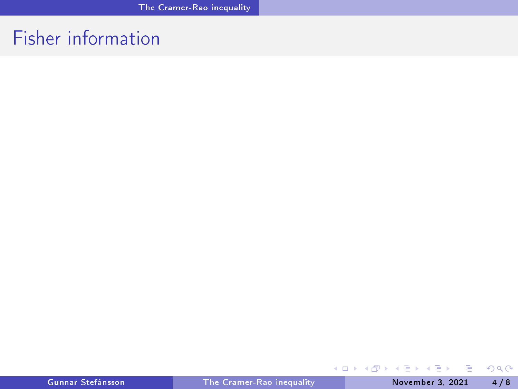## Fisher information

重

 $298$ 

イロト イ部 トイヨ トイヨト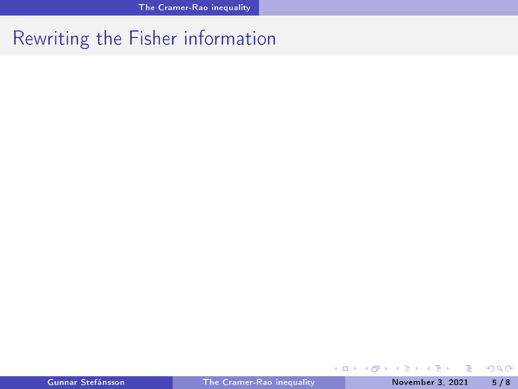## Rewriting the Fisher information

重

メロトメ 倒り メミトメ ミト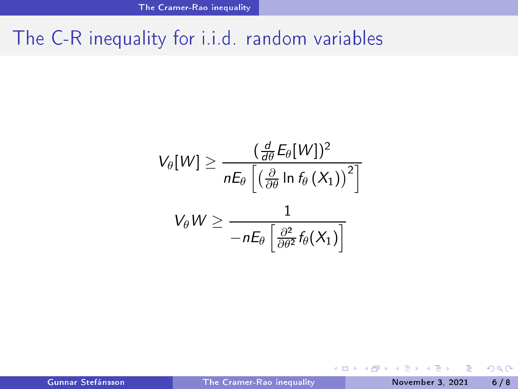#### The C-R inequality for i.i.d. random variables

$$
V_{\theta}[W] \ge \frac{(\frac{d}{d\theta}E_{\theta}[W])^2}{nE_{\theta}\left[\left(\frac{\partial}{\partial\theta}\ln f_{\theta}\left(X_1\right)\right)^2\right]}
$$

$$
V_{\theta}W \ge \frac{1}{-nE_{\theta}\left[\frac{\partial^2}{\partial\theta^2}f_{\theta}(X_1)\right]}
$$

Gunnar Stefánsson **Francia Chamer-Rao inequality** November 3, 2021 6/8

重

B

D.

**K ロ ▶ K 倒 ▶**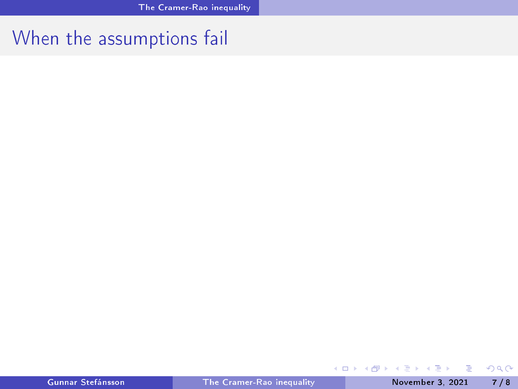## When the assumptions fail

イロト (御) (漫) (連)

重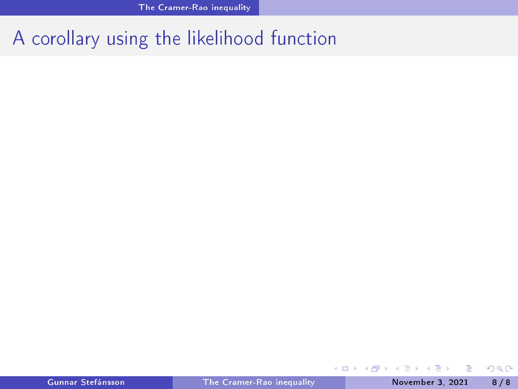# A corollary using the likelihood function

重

 $\mathbf{p}$ 重

∍  $\rightarrow$ 

**K ロ ト K 伊 ト K**